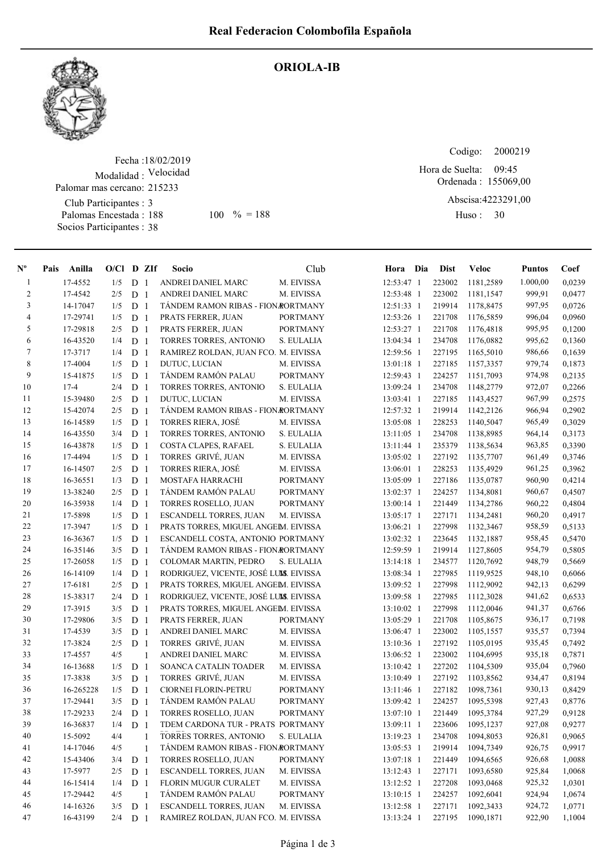

## ORIOLA-IB

Fecha : 18/02/2019 Modalidad : Velocidad Club Participantes : 3 Palomas Encestada : Socios Participantes : 38 Palomar mas cercano: 215233 188 100 % = 188 Huso: 30

Codigo: Ordenada : 155069,00 Abscisa: 4223291,00 Huso: 30 09:45 Hora de Suelta:

| $\mathbf{N}^{\mathbf{o}}$ | Anilla<br>Pais |     |   | $O/Cl$ D ZIf   | Socio                                  | Club            | Hora Dia   | <b>Dist</b> | <b>Veloc</b> | <b>Puntos</b> | Coef   |
|---------------------------|----------------|-----|---|----------------|----------------------------------------|-----------------|------------|-------------|--------------|---------------|--------|
| $\mathbf{1}$              | 17-4552        | 1/5 | D | $\overline{1}$ | ANDREI DANIEL MARC                     | M. EIVISSA      | 12:53:47 1 | 223002      | 1181,2589    | 1.000,00      | 0,0239 |
| $\overline{c}$            | 17-4542        | 2/5 | D | $\overline{1}$ | ANDREI DANIEL MARC                     | M. EIVISSA      | 12:53:48 1 | 223002      | 1181,1547    | 999,91        | 0,0477 |
| 3                         | 14-17047       | 1/5 |   | D <sub>1</sub> | TÁNDEM RAMON RIBAS - FION RORTMANY     |                 | 12:51:33 1 | 219914      | 1178,8475    | 997,95        | 0,0726 |
| 4                         | 17-29741       | 1/5 |   | D <sub>1</sub> | PRATS FERRER, JUAN                     | <b>PORTMANY</b> | 12:53:26 1 | 221708      | 1176,5859    | 996,04        | 0,0960 |
| 5                         | 17-29818       | 2/5 |   | D <sub>1</sub> | PRATS FERRER, JUAN                     | <b>PORTMANY</b> | 12:53:27 1 | 221708      | 1176,4818    | 995,95        | 0,1200 |
| 6                         | 16-43520       | 1/4 | D | -1             | TORRES TORRES, ANTONIO                 | S. EULALIA      | 13:04:34 1 | 234708      | 1176,0882    | 995,62        | 0,1360 |
| $\tau$                    | 17-3717        | 1/4 | D | 1              | RAMIREZ ROLDAN, JUAN FCO. M. EIVISSA   |                 | 12:59:56 1 | 227195      | 1165,5010    | 986,66        | 0,1639 |
| 8                         | 17-4004        | 1/5 | D | 1              | DUTUC, LUCIAN                          | M. EIVISSA      | 13:01:18 1 | 227185      | 1157,3357    | 979,74        | 0,1873 |
| 9                         | 15-41875       | 1/5 | D | -1             | TÁNDEM RAMÓN PALAU                     | <b>PORTMANY</b> | 12:59:43 1 | 224257      | 1151,7093    | 974,98        | 0,2135 |
| 10                        | $17 - 4$       | 2/4 |   | D <sub>1</sub> | TORRES TORRES, ANTONIO                 | S. EULALIA      | 13:09:24 1 | 234708      | 1148,2779    | 972,07        | 0,2266 |
| 11                        | 15-39480       | 2/5 | D | -1             | DUTUC, LUCIAN                          | M. EIVISSA      | 13:03:41 1 | 227185      | 1143,4527    | 967,99        | 0,2575 |
| 12                        | 15-42074       | 2/5 | D | $\mathbf{1}$   | TÁNDEM RAMON RIBAS - FION RORTMANY     |                 | 12:57:32 1 | 219914      | 1142,2126    | 966,94        | 0,2902 |
| 13                        | 16-14589       | 1/5 | D | -1             | <b>TORRES RIERA, JOSÉ</b>              | M. EIVISSA      | 13:05:08 1 | 228253      | 1140,5047    | 965,49        | 0,3029 |
| 14                        | 16-43550       | 3/4 |   | D <sub>1</sub> | TORRES TORRES, ANTONIO                 | S. EULALIA      | 13:11:05 1 | 234708      | 1138,8985    | 964,14        | 0,3173 |
| 15                        | 16-43878       | 1/5 |   | D <sub>1</sub> | COSTA CLAPES, RAFAEL                   | S. EULALIA      | 13:11:44 1 | 235379      | 1138,5634    | 963,85        | 0,3390 |
| 16                        | 17-4494        | 1/5 |   | D <sub>1</sub> | TORRES GRIVÉ, JUAN                     | M. EIVISSA      | 13:05:02 1 | 227192      | 1135,7707    | 961,49        | 0,3746 |
| 17                        | 16-14507       | 2/5 |   | D <sub>1</sub> | TORRES RIERA, JOSÉ                     | M. EIVISSA      | 13:06:01 1 | 228253      | 1135,4929    | 961,25        | 0,3962 |
| 18                        | 16-36551       | 1/3 | D | 1              | MOSTAFA HARRACHI                       | <b>PORTMANY</b> | 13:05:09 1 | 227186      | 1135,0787    | 960,90        | 0,4214 |
| 19                        | 13-38240       | 2/5 | D | 1              | TÁNDEM RAMÓN PALAU                     | <b>PORTMANY</b> | 13:02:37 1 | 224257      | 1134,8081    | 960,67        | 0,4507 |
| 20                        | 16-35938       | 1/4 | D | 1              | TORRES ROSELLO, JUAN                   | <b>PORTMANY</b> | 13:00:14 1 | 221449      | 1134,2786    | 960,22        | 0,4804 |
| 21                        | 17-5898        | 1/5 | D | 1              | <b>ESCANDELL TORRES, JUAN</b>          | M. EIVISSA      | 13:05:17 1 | 227171      | 1134,2481    | 960,20        | 0,4917 |
| 22                        | 17-3947        | 1/5 | D | -1             | PRATS TORRES, MIGUEL ANGEM. EIVISSA    |                 | 13:06:21 1 | 227998      | 1132,3467    | 958,59        | 0,5133 |
| 23                        | 16-36367       | 1/5 | D | -1             | ESCANDELL COSTA, ANTONIO PORTMANY      |                 | 13:02:32 1 | 223645      | 1132,1887    | 958,45        | 0,5470 |
| 24                        | 16-35146       | 3/5 | D | -1             | TÁNDEM RAMON RIBAS - FION RORTMANY     |                 | 12:59:59 1 | 219914      | 1127,8605    | 954,79        | 0,5805 |
| 25                        | 17-26058       | 1/5 | D | $\overline{1}$ | COLOMAR MARTIN, PEDRO                  | S. EULALIA      | 13:14:18 1 | 234577      | 1120,7692    | 948,79        | 0,5669 |
| 26                        | 16-14109       | 1/4 |   | D <sub>1</sub> | RODRIGUEZ, VICENTE, JOSÉ LUMS. EIVISSA |                 | 13:08:34 1 | 227985      | 1119,9525    | 948,10        | 0,6066 |
| 27                        | 17-6181        | 2/5 |   | D <sub>1</sub> | PRATS TORRES, MIGUEL ANGEM. EIVISSA    |                 | 13:09:52 1 | 227998      | 1112,9092    | 942,13        | 0,6299 |
| 28                        | 15-38317       | 2/4 |   | D <sub>1</sub> | RODRIGUEZ, VICENTE, JOSÉ LUMS. EIVISSA |                 | 13:09:58 1 | 227985      | 1112,3028    | 941,62        | 0,6533 |
| 29                        | 17-3915        | 3/5 |   | D <sub>1</sub> | PRATS TORRES, MIGUEL ANGEM. EIVISSA    |                 | 13:10:02 1 | 227998      | 1112,0046    | 941,37        | 0,6766 |
| 30                        | 17-29806       | 3/5 | D | -1             | PRATS FERRER, JUAN                     | <b>PORTMANY</b> | 13:05:29 1 | 221708      | 1105,8675    | 936,17        | 0,7198 |
| 31                        | 17-4539        | 3/5 | D | 1              | ANDREI DANIEL MARC                     | M. EIVISSA      | 13:06:47 1 | 223002      | 1105,1557    | 935,57        | 0,7394 |
| 32                        | 17-3824        | 2/5 |   | D <sub>1</sub> | TORRES GRIVÉ, JUAN                     | M. EIVISSA      | 13:10:36 1 | 227192      | 1105,0195    | 935,45        | 0,7492 |
| 33                        | 17-4557        | 4/5 |   | 1              | ANDREI DANIEL MARC                     | M. EIVISSA      | 13:06:52 1 | 223002      | 1104,6995    | 935,18        | 0,7871 |
| 34                        | 16-13688       | 1/5 |   | D <sub>1</sub> | SOANCA CATALIN TOADER                  | M. EIVISSA      | 13:10:42 1 | 227202      | 1104,5309    | 935,04        | 0,7960 |
| 35                        | 17-3838        | 3/5 |   | D <sub>1</sub> | TORRES GRIVÉ, JUAN                     | M. EIVISSA      | 13:10:49 1 | 227192      | 1103,8562    | 934,47        | 0,8194 |
| 36                        | 16-265228      | 1/5 | D | $\overline{1}$ | <b>CIORNEI FLORIN-PETRU</b>            | <b>PORTMANY</b> | 13:11:46 1 | 227182      | 1098,7361    | 930,13        | 0,8429 |
| 37                        | 17-29441       | 3/5 | D | $\overline{1}$ | TÁNDEM RAMÓN PALAU                     | <b>PORTMANY</b> | 13:09:42 1 | 224257      | 1095,5398    | 927,43        | 0,8776 |
| 38                        | 17-29233       | 2/4 |   | D <sub>1</sub> | TORRES ROSELLO, JUAN                   | <b>PORTMANY</b> | 13:07:10 1 | 221449      | 1095,3784    | 927,29        | 0,9128 |
| 39                        | 16-36837       | 1/4 |   | D <sub>1</sub> | TDEM CARDONA TUR - PRATS PORTMANY      |                 | 13:09:11 1 | 223606      | 1095,1237    | 927,08        | 0,9277 |
| 40                        | 15-5092        | 4/4 |   | 1              | TORRES TORRES, ANTONIO                 | S. EULALIA      | 13:19:23 1 | 234708      | 1094,8053    | 926,81        | 0,9065 |
| 41                        | 14-17046       | 4/5 |   | $\mathbf{1}$   | TÁNDEM RAMON RIBAS - FION RORTMANY     |                 | 13:05:53 1 | 219914      | 1094,7349    | 926,75        | 0,9917 |
| 42                        | 15-43406       | 3/4 | D | -1             | TORRES ROSELLO, JUAN                   | <b>PORTMANY</b> | 13:07:18 1 | 221449      | 1094,6565    | 926,68        | 1,0088 |
| 43                        | 17-5977        | 2/5 |   | D <sub>1</sub> | ESCANDELL TORRES, JUAN                 | M. EIVISSA      | 13:12:43 1 | 227171      | 1093,6580    | 925,84        | 1,0068 |
| 44                        | 16-15414       | 1/4 |   | D <sub>1</sub> | FLORIN MUGUR CURALET                   | M. EIVISSA      | 13:12:52 1 | 227208      | 1093,0468    | 925,32        | 1,0301 |
| 45                        | 17-29442       | 4/5 |   | 1              | TÁNDEM RAMÓN PALAU                     | <b>PORTMANY</b> | 13:10:15 1 | 224257      | 1092,6041    | 924,94        | 1,0674 |
| 46                        | 14-16326       | 3/5 |   | D <sub>1</sub> | ESCANDELL TORRES, JUAN                 | M. EIVISSA      | 13:12:58 1 | 227171      | 1092,3433    | 924,72        | 1,0771 |
| 47                        | 16-43199       | 2/4 |   | D <sub>1</sub> | RAMIREZ ROLDAN, JUAN FCO. M. EIVISSA   |                 | 13:13:24 1 | 227195      | 1090,1871    | 922,90        | 1,1004 |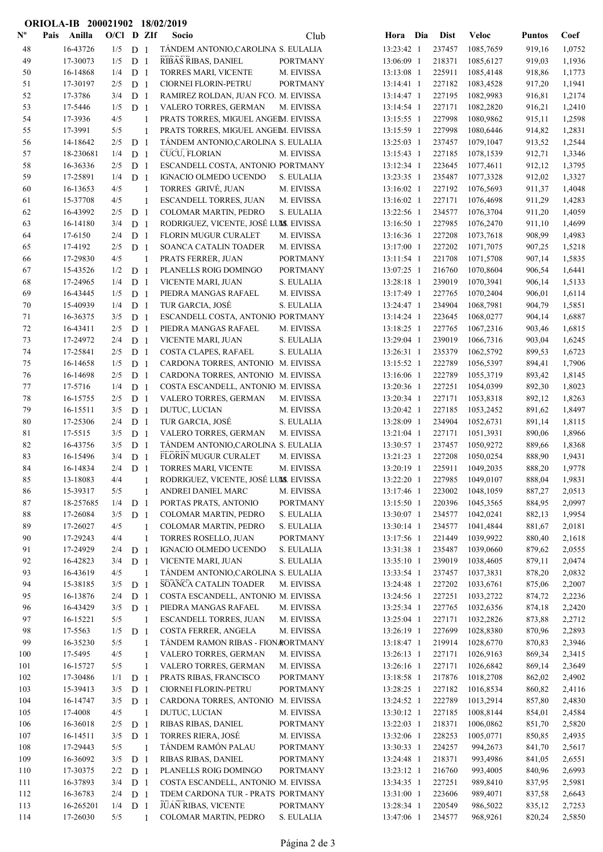|                           |      | ORIOLA-IB 200021902 18/02/2019 |            |                                  |                |                                            |                          |                          |                  |                        |                  |                  |
|---------------------------|------|--------------------------------|------------|----------------------------------|----------------|--------------------------------------------|--------------------------|--------------------------|------------------|------------------------|------------------|------------------|
| $\mathbf{N}^{\mathbf{o}}$ | Pais | Anilla                         | O/Cl D ZIf |                                  |                | Socio                                      | Club                     | Hora Dia                 | <b>Dist</b>      | <b>Veloc</b>           | <b>Puntos</b>    | Coef             |
| 48                        |      | 16-43726                       | 1/5        | D <sub>1</sub>                   |                | TÁNDEM ANTONIO, CAROLINA S. EULALIA        |                          | 13:23:42 1               | 237457           | 1085,7659              | 919,16           | 1,0752           |
| 49                        |      | 17-30073                       | 1/5        | D <sub>1</sub>                   |                | RIBAS RIBAS, DANIEL                        | <b>PORTMANY</b>          | 13:06:09 1               | 218371           | 1085,6127              | 919,03           | 1,1936           |
| 50                        |      | 16-14868                       | 1/4        | D <sub>1</sub>                   |                | TORRES MARI, VICENTE                       | M. EIVISSA               | 13:13:08 1               | 225911           | 1085,4148              | 918,86           | 1,1773           |
| 51                        |      | 17-30197                       | 2/5        | D <sub>1</sub>                   |                | CIORNEI FLORIN-PETRU                       | <b>PORTMANY</b>          | 13:14:41 1               | 227182           | 1083,4528              | 917,20           | 1,1941           |
| 52                        |      | 17-3786                        | 3/4        | D <sub>1</sub>                   |                | RAMIREZ ROLDAN, JUAN FCO. M. EIVISSA       |                          | 13:14:47 1               | 227195           | 1082,9983              | 916,81           | 1,2174           |
| 53                        |      | 17-5446                        | 1/5        | D <sub>1</sub>                   |                | VALERO TORRES, GERMAN                      | M. EIVISSA               | 13:14:54 1               | 227171           | 1082,2820              | 916,21           | 1,2410           |
| 54                        |      | 17-3936                        | 4/5        |                                  | $\mathbf{1}$   | PRATS TORRES, MIGUEL ANGEM. EIVISSA        |                          | 13:15:55 1               | 227998           | 1080,9862              | 915,11           | 1,2598           |
| 55                        |      | 17-3991                        | 5/5        |                                  | 1              | PRATS TORRES, MIGUEL ANGEM. EIVISSA        |                          | 13:15:59 1               | 227998           | 1080,6446              | 914,82           | 1,2831           |
| 56                        |      | 14-18642                       | 2/5        | D <sub>1</sub>                   |                | TÁNDEM ANTONIO, CAROLINA S. EULALIA        |                          | 13:25:03 1               | 237457           | 1079,1047              | 913,52           | 1,2544           |
| 57                        |      | 18-230681                      | 1/4        | D <sub>1</sub>                   |                | CUCU, FLORIAN                              | M. EIVISSA               | 13:15:43 1               | 227185           | 1078,1539              | 912,71           | 1,3346           |
| 58                        |      | 16-36336                       | 2/5        | D <sub>1</sub>                   |                | ESCANDELL COSTA, ANTONIO PORTMANY          |                          | 13:12:34 1               | 223645           | 1077,4611              | 912,12           | 1,3795           |
| 59                        |      | 17-25891                       | 1/4        | D <sub>1</sub>                   |                | IGNACIO OLMEDO UCENDO                      | S. EULALIA               | 13:23:35 1               | 235487           | 1077,3328              | 912,02           | 1,3327           |
| 60                        |      | 16-13653                       | 4/5        |                                  | 1              | TORRES GRIVÉ, JUAN                         | M. EIVISSA               | 13:16:02 1               | 227192           | 1076,5693              | 911,37           | 1,4048           |
| 61                        |      | 15-37708                       | 4/5        |                                  | 1              | ESCANDELL TORRES, JUAN                     | M. EIVISSA               | 13:16:02 1               | 227171           | 1076,4698              | 911,29           | 1,4283           |
| 62                        |      | 16-43992                       | 2/5        | D <sub>1</sub>                   |                | COLOMAR MARTIN, PEDRO                      | S. EULALIA               | 13:22:56 1               | 234577           | 1076,3704              | 911,20           | 1,4059           |
| 63                        |      | 16-14180                       | 3/4        | D <sub>1</sub>                   |                | RODRIGUEZ, VICENTE, JOSÉ LUIS. EIVISSA     |                          | 13:16:50 1               | 227985           | 1076,2470              | 911,10           | 1,4699           |
| 64                        |      | 17-6150                        | 2/4        | D <sub>1</sub>                   |                | FLORIN MUGUR CURALET                       | M. EIVISSA               | 13:16:36 1               | 227208           | 1073,7618              | 908,99           | 1,4983           |
| 65                        |      | 17-4192                        | 2/5        | D <sub>1</sub>                   |                | SOANCA CATALIN TOADER                      | M. EIVISSA               | 13:17:00 1               | 227202           | 1071,7075              | 907,25           | 1,5218           |
| 66                        |      | 17-29830                       | 4/5        |                                  | $\mathbf{1}$   | PRATS FERRER, JUAN                         | <b>PORTMANY</b>          | 13:11:54 1               | 221708           | 1071,5708              | 907,14           | 1,5835           |
| 67                        |      | 15-43526                       | 1/2        | D <sub>1</sub>                   |                | PLANELLS ROIG DOMINGO                      | <b>PORTMANY</b>          | 13:07:25 1               | 216760           | 1070,8604              | 906,54           | 1,6441           |
| 68                        |      | 17-24965                       | 1/4        | D <sub>1</sub>                   |                | VICENTE MARI, JUAN                         | S. EULALIA               | 13:28:18 1               | 239019           | 1070,3941              | 906,14           | 1,5133           |
| 69                        |      | 16-43445                       | 1/5        | D <sub>1</sub>                   |                | PIEDRA MANGAS RAFAEL                       | M. EIVISSA               | 13:17:49 1               | 227765           | 1070,2404              | 906,01           | 1,6114           |
| 70                        |      | 15-40939                       | 1/4        | D <sub>1</sub>                   |                | TUR GARCIA, JOSÉ                           | S. EULALIA               | 13:24:47 1               | 234904           | 1068,7981              | 904,79           | 1,5851           |
| 71                        |      | 16-36375                       | 3/5        | D <sub>1</sub>                   |                | ESCANDELL COSTA, ANTONIO PORTMANY          |                          | 13:14:24 1               | 223645           | 1068,0277              | 904,14           | 1,6887           |
| 72<br>73                  |      | 16-43411<br>17-24972           | 2/5        | D <sub>1</sub>                   |                | PIEDRA MANGAS RAFAEL                       | M. EIVISSA               | 13:18:25 1<br>13:29:04 1 | 227765<br>239019 | 1067,2316              | 903,46           | 1,6815           |
| 74                        |      | 17-25841                       | 2/4<br>2/5 | D <sub>1</sub><br>D <sub>1</sub> |                | VICENTE MARI, JUAN<br>COSTA CLAPES, RAFAEL | S. EULALIA<br>S. EULALIA | 13:26:31 1               | 235379           | 1066,7316<br>1062,5792 | 903,04<br>899,53 | 1,6245<br>1,6723 |
| 75                        |      | 16-14658                       | 1/5        | D <sub>1</sub>                   |                | CARDONA TORRES, ANTONIO M. EIVISSA         |                          | 13:15:52 1               | 222789           | 1056,5397              | 894,41           | 1,7906           |
| 76                        |      | 16-14698                       | 2/5        | D <sub>1</sub>                   |                | CARDONA TORRES, ANTONIO M. EIVISSA         |                          | 13:16:06 1               | 222789           | 1055,3719              | 893,42           | 1,8145           |
| 77                        |      | 17-5716                        | 1/4        | D <sub>1</sub>                   |                | COSTA ESCANDELL, ANTONIO M. EIVISSA        |                          | 13:20:36 1               | 227251           | 1054,0399              | 892,30           | 1,8023           |
| 78                        |      | 16-15755                       | 2/5        | D <sub>1</sub>                   |                | VALERO TORRES, GERMAN                      | M. EIVISSA               | 13:20:34 1               | 227171           | 1053,8318              | 892,12           | 1,8263           |
| 79                        |      | 16-15511                       | 3/5        | D <sub>1</sub>                   |                | DUTUC, LUCIAN                              | M. EIVISSA               | 13:20:42 1               | 227185           | 1053,2452              | 891,62           | 1,8497           |
| 80                        |      | 17-25306                       | 2/4        | D <sub>1</sub>                   |                | TUR GARCIA, JOSÉ                           | S. EULALIA               | 13:28:09 1               | 234904           | 1052,6731              | 891,14           | 1,8115           |
| 81                        |      | 17-5515                        | 3/5        | D <sub>1</sub>                   |                | VALERO TORRES, GERMAN                      | M. EIVISSA               | 13:21:04 1               | 227171           | 1051,3931              | 890,06           | 1,8966           |
| 82                        |      | 16-43756                       | 3/5        | D <sub>1</sub>                   |                | TÁNDEM ANTONIO, CAROLINA S. EULALIA        |                          | 13:30:57 1               | 237457           | 1050,9272              | 889,66           | 1,8368           |
| 83                        |      | 16-15496                       | 3/4        | D <sub>1</sub>                   |                | FLORIN MUGUR CURALET                       | M. EIVISSA               | 13:21:23 1               | 227208           | 1050,0254              | 888,90           | 1,9431           |
| 84                        |      | 16-14834                       | 2/4        | D <sub>1</sub>                   |                | TORRES MARI, VICENTE                       | M. EIVISSA               | 13:20:19 1               | 225911           | 1049,2035              | 888,20           | 1,9778           |
| 85                        |      | 13-18083                       | 4/4        |                                  | 1              | RODRIGUEZ, VICENTE, JOSÉ LUMS. EIVISSA     |                          | 13:22:20 1               | 227985           | 1049,0107              | 888,04           | 1,9831           |
| 86                        |      | 15-39317                       | 5/5        |                                  | 1              | ANDREI DANIEL MARC                         | M. EIVISSA               | 13:17:46 1               | 223002           | 1048,1059              | 887,27           | 2,0513           |
| 87                        |      | 18-257685                      | 1/4        | D <sub>1</sub>                   |                | PORTAS PRATS, ANTONIO                      | <b>PORTMANY</b>          | 13:15:50 1               | 220396           | 1045,3565              | 884,95           | 2,0997           |
| 88                        |      | 17-26084                       | 3/5        | D <sub>1</sub>                   |                | COLOMAR MARTIN, PEDRO                      | S. EULALIA               | 13:30:07 1               | 234577           | 1042,0241              | 882,13           | 1,9954           |
| 89                        |      | 17-26027                       | 4/5        |                                  | $\mathbf{1}$   | COLOMAR MARTIN, PEDRO                      | S. EULALIA               | 13:30:14 1               | 234577           | 1041,4844              | 881,67           | 2,0181           |
| 90                        |      | 17-29243                       | 4/4        |                                  | $\mathbf{1}$   | TORRES ROSELLO, JUAN                       | <b>PORTMANY</b>          | 13:17:56 1               | 221449           | 1039,9922              | 880,40           | 2,1618           |
| 91                        |      | 17-24929                       | 2/4        | D <sub>1</sub>                   |                | IGNACIO OLMEDO UCENDO                      | S. EULALIA               | 13:31:38 1               | 235487           | 1039,0660              | 879,62           | 2,0555           |
| 92                        |      | 16-42823                       | 3/4        | D <sub>1</sub>                   |                | VICENTE MARI, JUAN                         | S. EULALIA               | 13:35:10 1               | 239019           | 1038,4605              | 879,11           | 2,0474           |
| 93                        |      | 16-43619                       | 4/5        |                                  | $\overline{1}$ | TÁNDEM ANTONIO, CAROLINA S. EULALIA        |                          | 13:33:54 1               | 237457           | 1037,3831              | 878,20           | 2,0832           |
| 94                        |      | 15-38185                       | 3/5        | D <sub>1</sub>                   |                | SOANCA CATALIN TOADER                      | M. EIVISSA               | 13:24:48 1               | 227202           | 1033,6761              | 875,06           | 2,2007           |
| 95                        |      | 16-13876                       | 2/4        | D <sub>1</sub>                   |                | COSTA ESCANDELL, ANTONIO M. EIVISSA        |                          | 13:24:56 1               | 227251           | 1033,2722              | 874,72           | 2,2236           |
| 96                        |      | 16-43429                       | 3/5        | D <sub>1</sub>                   |                | PIEDRA MANGAS RAFAEL                       | M. EIVISSA               | 13:25:34 1               | 227765           | 1032,6356              | 874,18           | 2,2420           |
| 97                        |      | 16-15221                       | 5/5        |                                  | -1             | ESCANDELL TORRES, JUAN                     | M. EIVISSA               | 13:25:04 1               | 227171           | 1032,2826              | 873,88           | 2,2712           |
| 98                        |      | 17-5563                        | 1/5        | D <sub>1</sub>                   |                | COSTA FERRER, ANGELA                       | M. EIVISSA               | 13:26:19 1               | 227699           | 1028,8380              | 870,96           | 2,2893           |
| 99                        |      | 16-35230                       | $5/5$      |                                  | -1             | TÁNDEM RAMON RIBAS - FION RORTMANY         |                          | 13:18:47 1               | 219914           | 1028,6770              | 870,83           | 2,3946           |
| 100                       |      | 17-5495                        | 4/5        |                                  | 1              | VALERO TORRES, GERMAN                      | M. EIVISSA               | 13:26:13 1               | 227171           | 1026,9163              | 869,34           | 2,3415           |
| 101                       |      | 16-15727                       | 5/5        |                                  | $\mathbf{1}$   | VALERO TORRES, GERMAN                      | M. EIVISSA               | 13:26:16 1               | 227171           | 1026,6842              | 869,14           | 2,3649           |
| 102                       |      | 17-30486                       | 1/1        | D <sub>1</sub>                   |                | PRATS RIBAS, FRANCISCO                     | <b>PORTMANY</b>          | 13:18:58 1               | 217876           | 1018,2708              | 862,02           | 2,4902           |
| 103                       |      | 15-39413                       | 3/5        | D <sub>1</sub>                   |                | CIORNEI FLORIN-PETRU                       | <b>PORTMANY</b>          | 13:28:25 1               | 227182           | 1016,8534              | 860,82           | 2,4116           |
| 104                       |      | 16-14747                       | 3/5        | D <sub>1</sub>                   |                | CARDONA TORRES, ANTONIO                    | M. EIVISSA               | 13:24:52 1               | 222789           | 1013,2914              | 857,80           | 2,4830           |
| 105                       |      | 17-4008                        | 4/5        |                                  | -1             | DUTUC, LUCIAN                              | M. EIVISSA               | 13:30:12 1               | 227185           | 1008,8144              | 854,01           | 2,4584           |
| 106                       |      | 16-36018                       | $2/5$      | D <sub>1</sub>                   |                | RIBAS RIBAS, DANIEL                        | <b>PORTMANY</b>          | 13:22:03 1               | 218371           | 1006,0862              | 851,70           | 2,5820           |
| 107                       |      | 16-14511                       | 3/5        | D <sub>1</sub>                   |                | TORRES RIERA, JOSÉ                         | M. EIVISSA               | 13:32:06 1               | 228253           | 1005,0771              | 850,85           | 2,4935           |
| $108\,$                   |      | 17-29443                       | 5/5        |                                  | $\overline{1}$ | TÁNDEM RAMÓN PALAU                         | <b>PORTMANY</b>          | 13:30:33 1               | 224257           | 994,2673               | 841,70           | 2,5617           |
| 109                       |      | 16-36092                       | 3/5        | D <sub>1</sub>                   |                | RIBAS RIBAS, DANIEL                        | <b>PORTMANY</b>          | 13:24:48 1               | 218371           | 993,4986               | 841,05           | 2,6551           |
| $110\,$                   |      | 17-30375                       | 2/2        | D <sub>1</sub>                   |                | PLANELLS ROIG DOMINGO                      | <b>PORTMANY</b>          | 13:23:12 1               | 216760           | 993,4005               | 840,96           | 2,6993           |
| 111                       |      | 16-37893                       | 3/4        | D <sub>1</sub>                   |                | COSTA ESCANDELL, ANTONIO M. EIVISSA        |                          | 13:34:35 1               | 227251           | 989,8410               | 837,95           | 2,5981           |
| 112                       |      | 16-36783                       | 2/4        | D <sub>1</sub>                   |                | TDEM CARDONA TUR - PRATS PORTMANY          |                          | 13:31:00 1               | 223606           | 989,4071               | 837,58           | 2,6643           |
| 113                       |      | 16-265201                      | 1/4        | D <sub>1</sub>                   |                | JUAN RIBAS, VICENTE                        | PORTMANY                 | 13:28:34 1               | 220549           | 986,5022               | 835,12           | 2,7253           |
| 114                       |      | 17-26030                       | 5/5        |                                  | $\mathbf{1}$   | COLOMAR MARTIN, PEDRO                      | S. EULALIA               | 13:47:06 1               | 234577           | 968,9261               | 820,24           | 2,5850           |